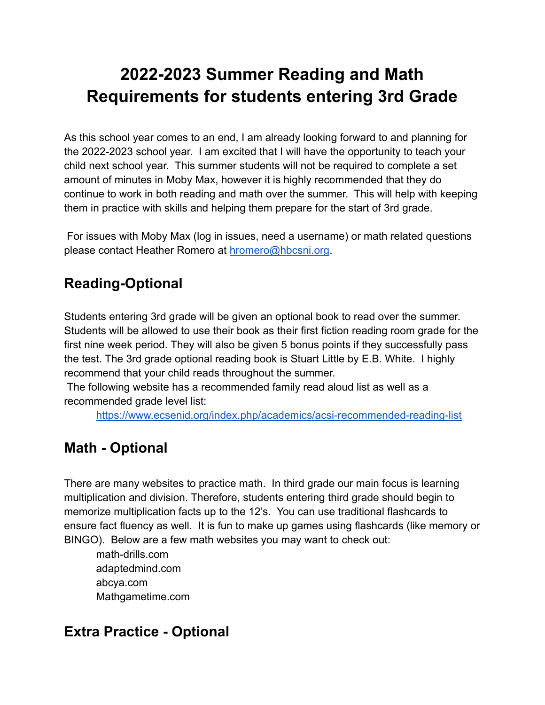# **2022-2023 Summer Reading and Math Requirements for students entering 3rd Grade**

As this school year comes to an end, I am already looking forward to and planning for the 2022-2023 school year. I am excited that I will have the opportunity to teach your child next school year. This summer students will not be required to complete a set amount of minutes in Moby Max, however it is highly recommended that they do continue to work in both reading and math over the summer. This will help with keeping them in practice with skills and helping them prepare for the start of 3rd grade.

For issues with Moby Max (log in issues, need a username) or math related questions please contact Heather Romero at [hromero@hbcsni.org](mailto:hromero@hbcsni.org).

### **Reading-Optional**

Students entering 3rd grade will be given an optional book to read over the summer. Students will be allowed to use their book as their first fiction reading room grade for the first nine week period. They will also be given 5 bonus points if they successfully pass the test. The 3rd grade optional reading book is Stuart Little by E.B. White. I highly recommend that your child reads throughout the summer.

The following website has a recommended family read aloud list as well as a recommended grade level list:

<https://www.ecsenid.org/index.php/academics/acsi-recommended-reading-list>

### **Math - Optional**

There are many websites to practice math. In third grade our main focus is learning multiplication and division. Therefore, students entering third grade should begin to memorize multiplication facts up to the 12's. You can use traditional flashcards to ensure fact fluency as well. It is fun to make up games using flashcards (like memory or BINGO). Below are a few math websites you may want to check out:

math-drills.com adaptedmind.com abcya.com Mathgametime.com

### **Extra Practice - Optional**